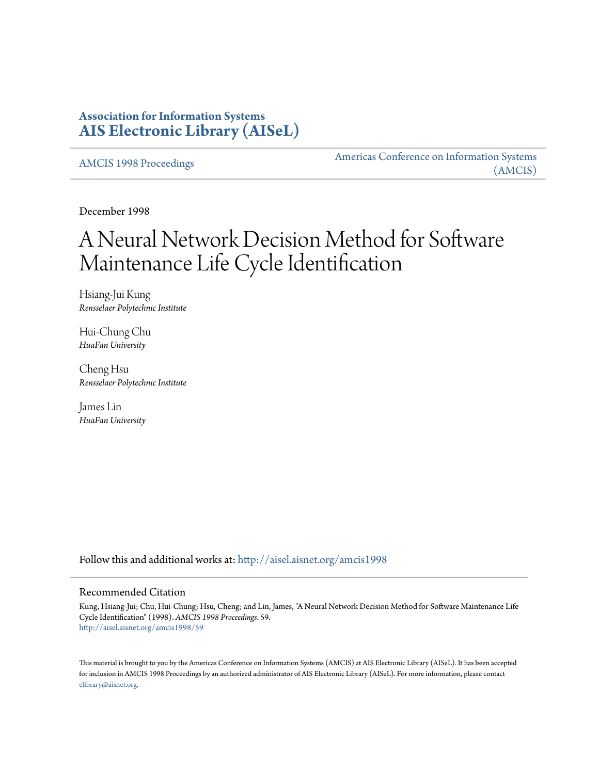# **Association for Information Systems [AIS Electronic Library \(AISeL\)](http://aisel.aisnet.org?utm_source=aisel.aisnet.org%2Famcis1998%2F59&utm_medium=PDF&utm_campaign=PDFCoverPages)**

[AMCIS 1998 Proceedings](http://aisel.aisnet.org/amcis1998?utm_source=aisel.aisnet.org%2Famcis1998%2F59&utm_medium=PDF&utm_campaign=PDFCoverPages)

[Americas Conference on Information Systems](http://aisel.aisnet.org/amcis?utm_source=aisel.aisnet.org%2Famcis1998%2F59&utm_medium=PDF&utm_campaign=PDFCoverPages) [\(AMCIS\)](http://aisel.aisnet.org/amcis?utm_source=aisel.aisnet.org%2Famcis1998%2F59&utm_medium=PDF&utm_campaign=PDFCoverPages)

December 1998

# A Neural Network Decision Method for Software Maintenance Life Cycle Identification

Hsiang-Jui Kung *Rensselaer Polytechnic Institute*

Hui-Chung Chu *HuaFan University*

Cheng Hsu *Rensselaer Polytechnic Institute*

James Lin *HuaFan University*

Follow this and additional works at: [http://aisel.aisnet.org/amcis1998](http://aisel.aisnet.org/amcis1998?utm_source=aisel.aisnet.org%2Famcis1998%2F59&utm_medium=PDF&utm_campaign=PDFCoverPages)

#### Recommended Citation

Kung, Hsiang-Jui; Chu, Hui-Chung; Hsu, Cheng; and Lin, James, "A Neural Network Decision Method for Software Maintenance Life Cycle Identification" (1998). *AMCIS 1998 Proceedings*. 59. [http://aisel.aisnet.org/amcis1998/59](http://aisel.aisnet.org/amcis1998/59?utm_source=aisel.aisnet.org%2Famcis1998%2F59&utm_medium=PDF&utm_campaign=PDFCoverPages)

This material is brought to you by the Americas Conference on Information Systems (AMCIS) at AIS Electronic Library (AISeL). It has been accepted for inclusion in AMCIS 1998 Proceedings by an authorized administrator of AIS Electronic Library (AISeL). For more information, please contact [elibrary@aisnet.org.](mailto:elibrary@aisnet.org%3E)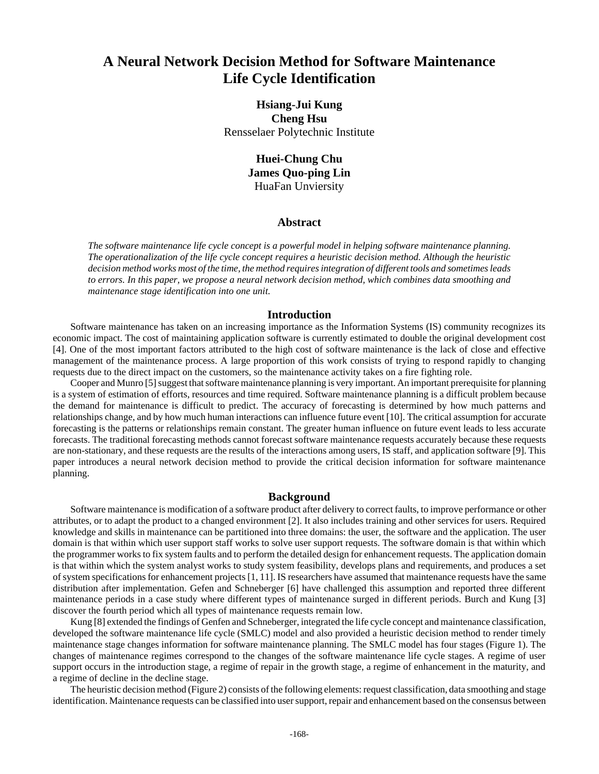# **A Neural Network Decision Method for Software Maintenance Life Cycle Identification**

## **Hsiang-Jui Kung Cheng Hsu** Rensselaer Polytechnic Institute

## **Huei-Chung Chu James Quo-ping Lin** HuaFan Unviersity

#### **Abstract**

*The software maintenance life cycle concept is a powerful model in helping software maintenance planning. The operationalization of the life cycle concept requires a heuristic decision method. Although the heuristic decision method works most of the time, the method requires integration of different tools and sometimes leads to errors. In this paper, we propose a neural network decision method, which combines data smoothing and maintenance stage identification into one unit.*

#### **Introduction**

Software maintenance has taken on an increasing importance as the Information Systems (IS) community recognizes its economic impact. The cost of maintaining application software is currently estimated to double the original development cost [4]. One of the most important factors attributed to the high cost of software maintenance is the lack of close and effective management of the maintenance process. A large proportion of this work consists of trying to respond rapidly to changing requests due to the direct impact on the customers, so the maintenance activity takes on a fire fighting role.

Cooper and Munro [5] suggest that software maintenance planning is very important. An important prerequisite for planning is a system of estimation of efforts, resources and time required. Software maintenance planning is a difficult problem because the demand for maintenance is difficult to predict. The accuracy of forecasting is determined by how much patterns and relationships change, and by how much human interactions can influence future event [10]. The critical assumption for accurate forecasting is the patterns or relationships remain constant. The greater human influence on future event leads to less accurate forecasts. The traditional forecasting methods cannot forecast software maintenance requests accurately because these requests are non-stationary, and these requests are the results of the interactions among users, IS staff, and application software [9]. This paper introduces a neural network decision method to provide the critical decision information for software maintenance planning.

#### **Background**

Software maintenance is modification of a software product after delivery to correct faults, to improve performance or other attributes, or to adapt the product to a changed environment [2]. It also includes training and other services for users. Required knowledge and skills in maintenance can be partitioned into three domains: the user, the software and the application. The user domain is that within which user support staff works to solve user support requests. The software domain is that within which the programmer works to fix system faults and to perform the detailed design for enhancement requests. The application domain is that within which the system analyst works to study system feasibility, develops plans and requirements, and produces a set of system specifications for enhancement projects [1, 11]. IS researchers have assumed that maintenance requests have the same distribution after implementation. Gefen and Schneberger [6] have challenged this assumption and reported three different maintenance periods in a case study where different types of maintenance surged in different periods. Burch and Kung [3] discover the fourth period which all types of maintenance requests remain low.

Kung [8] extended the findings of Genfen and Schneberger, integrated the life cycle concept and maintenance classification, developed the software maintenance life cycle (SMLC) model and also provided a heuristic decision method to render timely maintenance stage changes information for software maintenance planning. The SMLC model has four stages (Figure 1). The changes of maintenance regimes correspond to the changes of the software maintenance life cycle stages. A regime of user support occurs in the introduction stage, a regime of repair in the growth stage, a regime of enhancement in the maturity, and a regime of decline in the decline stage.

The heuristic decision method (Figure 2) consists of the following elements: request classification, data smoothing and stage identification. Maintenance requests can be classified into user support, repair and enhancement based on the consensus between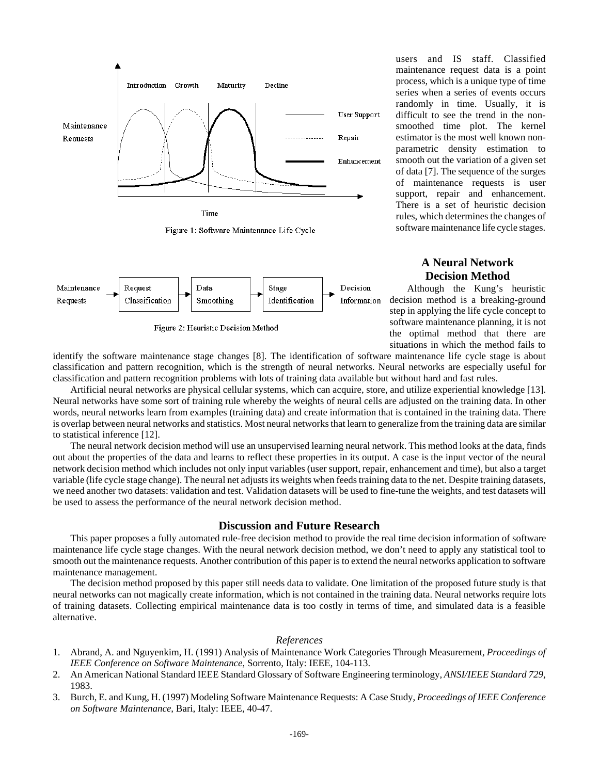



Figure 2: Heuristic Decision Method

users and IS staff. Classified maintenance request data is a point process, which is a unique type of time series when a series of events occurs randomly in time. Usually, it is difficult to see the trend in the nonsmoothed time plot. The kernel estimator is the most well known nonparametric density estimation to smooth out the variation of a given set of data [7]. The sequence of the surges of maintenance requests is user support, repair and enhancement. There is a set of heuristic decision rules, which determines the changes of software maintenance life cycle stages.

## **A Neural Network Decision Method**

Although the Kung's heuristic decision method is a breaking-ground step in applying the life cycle concept to software maintenance planning, it is not the optimal method that there are situations in which the method fails to

identify the software maintenance stage changes [8]. The identification of software maintenance life cycle stage is about classification and pattern recognition, which is the strength of neural networks. Neural networks are especially useful for classification and pattern recognition problems with lots of training data available but without hard and fast rules.

Artificial neural networks are physical cellular systems, which can acquire, store, and utilize experiential knowledge [13]. Neural networks have some sort of training rule whereby the weights of neural cells are adjusted on the training data. In other words, neural networks learn from examples (training data) and create information that is contained in the training data. There is overlap between neural networks and statistics. Most neural networks that learn to generalize from the training data are similar to statistical inference [12].

The neural network decision method will use an unsupervised learning neural network. This method looks at the data, finds out about the properties of the data and learns to reflect these properties in its output. A case is the input vector of the neural network decision method which includes not only input variables (user support, repair, enhancement and time), but also a target variable (life cycle stage change). The neural net adjusts its weights when feeds training data to the net. Despite training datasets, we need another two datasets: validation and test. Validation datasets will be used to fine-tune the weights, and test datasets will be used to assess the performance of the neural network decision method.

#### **Discussion and Future Research**

This paper proposes a fully automated rule-free decision method to provide the real time decision information of software maintenance life cycle stage changes. With the neural network decision method, we don't need to apply any statistical tool to smooth out the maintenance requests. Another contribution of this paper is to extend the neural networks application to software maintenance management.

The decision method proposed by this paper still needs data to validate. One limitation of the proposed future study is that neural networks can not magically create information, which is not contained in the training data. Neural networks require lots of training datasets. Collecting empirical maintenance data is too costly in terms of time, and simulated data is a feasible alternative.

#### *References*

- 1. Abrand, A. and Nguyenkim, H. (1991) Analysis of Maintenance Work Categories Through Measurement, *Proceedings of IEEE Conference on Software Maintenance*, Sorrento, Italy: IEEE, 104-113.
- 2. An American National Standard IEEE Standard Glossary of Software Engineering terminology, *ANSI/IEEE Standard 729*, 1983.
- 3. Burch, E. and Kung, H. (1997) Modeling Software Maintenance Requests: A Case Study, *Proceedings of IEEE Conference on Software Maintenance*, Bari, Italy: IEEE, 40-47.